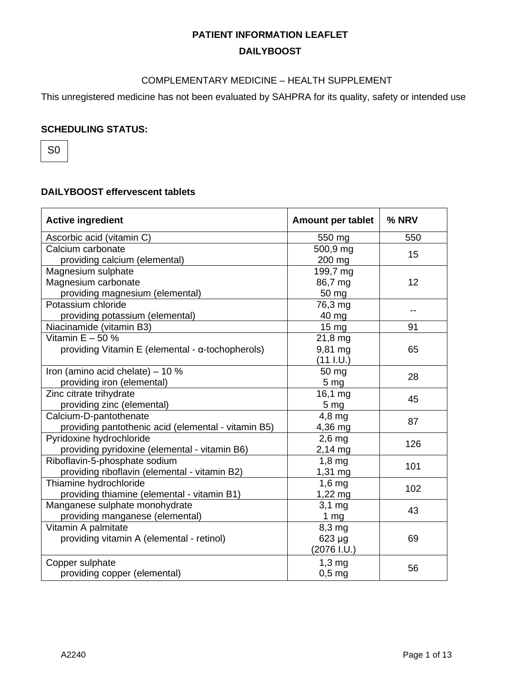#### COMPLEMENTARY MEDICINE – HEALTH SUPPLEMENT

This unregistered medicine has not been evaluated by SAHPRA for its quality, safety or intended use

#### **SCHEDULING STATUS:**

S0

### **DAILYBOOST effervescent tablets**

| <b>Active ingredient</b>                            | Amount per tablet    | % NRV |
|-----------------------------------------------------|----------------------|-------|
| Ascorbic acid (vitamin C)                           | 550 mg               | 550   |
| Calcium carbonate                                   | 500,9 mg             | 15    |
| providing calcium (elemental)                       | 200 mg               |       |
| Magnesium sulphate                                  | 199,7 mg             |       |
| Magnesium carbonate                                 | 86,7 mg              | 12    |
| providing magnesium (elemental)                     | 50 mg                |       |
| Potassium chloride                                  | 76,3 mg              |       |
| providing potassium (elemental)                     | 40 mg                |       |
| Niacinamide (vitamin B3)                            | 15 mg                | 91    |
| Vitamin $E - 50$ %                                  | 21,8 mg              |       |
| providing Vitamin E (elemental - α-tochopherols)    | 9,81 mg              | 65    |
|                                                     | (11 1.0)             |       |
| Iron (amino acid chelate) - 10 %                    | 50 mg                | 28    |
| providing iron (elemental)                          | 5 <sub>mg</sub>      |       |
| Zinc citrate trihydrate                             | 16,1 mg              | 45    |
| providing zinc (elemental)                          | 5 <sub>mg</sub>      |       |
| Calcium-D-pantothenate                              | 4,8 mg               | 87    |
| providing pantothenic acid (elemental - vitamin B5) | 4,36 mg              |       |
| Pyridoxine hydrochloride                            | $2,6$ mg             | 126   |
| providing pyridoxine (elemental - vitamin B6)       | $2,14 \,\text{mg}$   |       |
| Riboflavin-5-phosphate sodium                       | $1,8$ mg             | 101   |
| providing riboflavin (elemental - vitamin B2)       | $1,31 \,\mathrm{mg}$ |       |
| Thiamine hydrochloride                              | $1,6$ mg             | 102   |
| providing thiamine (elemental - vitamin B1)         | $1,22 \, mg$         |       |
| Manganese sulphate monohydrate                      | $3,1$ mg             | 43    |
| providing manganese (elemental)                     | 1 $mg$               |       |
| Vitamin A palmitate                                 | $8,3$ mg             |       |
| providing vitamin A (elemental - retinol)           | 623 µg               | 69    |
|                                                     | $(2076$ I.U.)        |       |
| Copper sulphate                                     | $1,3$ mg             | 56    |
| providing copper (elemental)                        | $0,5$ mg             |       |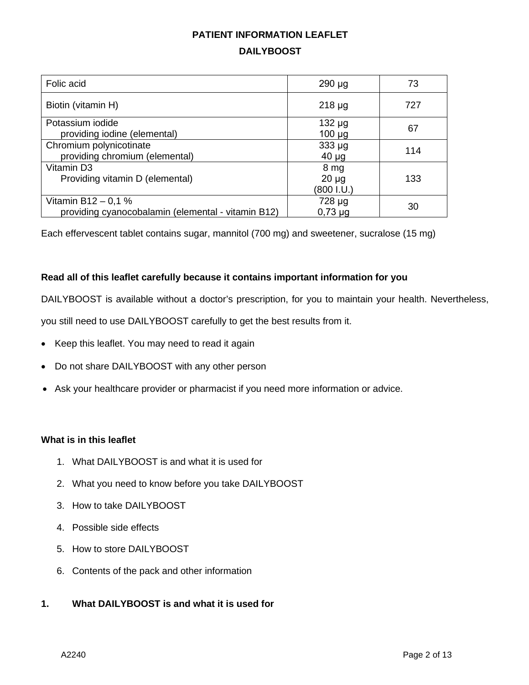| Folic acid                                                                | $290 \mu g$                      | 73  |
|---------------------------------------------------------------------------|----------------------------------|-----|
| Biotin (vitamin H)                                                        | $218 \mu g$                      | 727 |
| Potassium iodide<br>providing iodine (elemental)                          | $132 \mu g$<br>$100 \mu g$       | 67  |
| Chromium polynicotinate<br>providing chromium (elemental)                 | $333 \mu g$<br>$40 \mu g$        | 114 |
| Vitamin D3<br>Providing vitamin D (elemental)                             | 8 mg<br>$20 \mu g$<br>(800 I.U.) | 133 |
| Vitamin B12 - 0,1 %<br>providing cyanocobalamin (elemental - vitamin B12) | 728 µg<br>$0,73 \mu$ g           | 30  |

Each effervescent tablet contains sugar, mannitol (700 mg) and sweetener, sucralose (15 mg)

#### **Read all of this leaflet carefully because it contains important information for you**

DAILYBOOST is available without a doctor's prescription, for you to maintain your health. Nevertheless,

you still need to use DAILYBOOST carefully to get the best results from it.

- Keep this leaflet. You may need to read it again
- Do not share DAILYBOOST with any other person
- Ask your healthcare provider or pharmacist if you need more information or advice.

#### **What is in this leaflet**

- 1. What DAILYBOOST is and what it is used for
- 2. What you need to know before you take DAILYBOOST
- 3. How to take DAILYBOOST
- 4. Possible side effects
- 5. How to store DAILYBOOST
- 6. Contents of the pack and other information

#### **1. What DAILYBOOST is and what it is used for**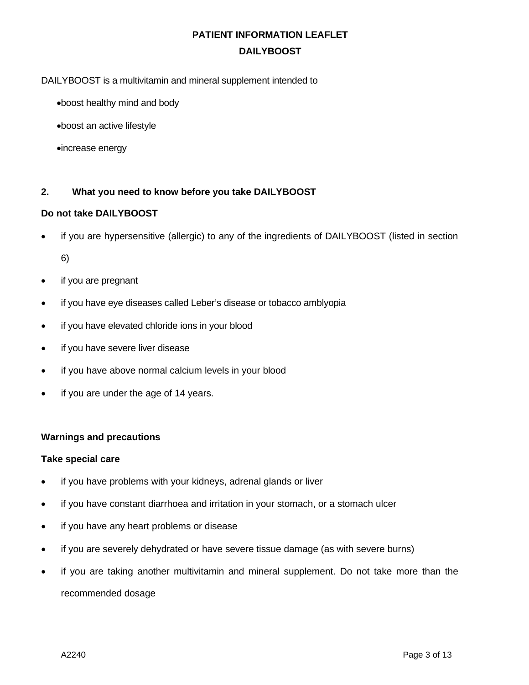DAILYBOOST is a multivitamin and mineral supplement intended to

- •boost healthy mind and body
- •boost an active lifestyle
- •increase energy

#### **2. What you need to know before you take DAILYBOOST**

#### **Do not take DAILYBOOST**

if you are hypersensitive (allergic) to any of the ingredients of DAILYBOOST (listed in section

6)

- if you are pregnant
- if you have eye diseases called Leber's disease or tobacco amblyopia
- if you have elevated chloride ions in your blood
- if you have severe liver disease
- if you have above normal calcium levels in your blood
- if you are under the age of 14 years.

#### **Warnings and precautions**

#### **Take special care**

- if you have problems with your kidneys, adrenal glands or liver
- if you have constant diarrhoea and irritation in your stomach, or a stomach ulcer
- if you have any heart problems or disease
- if you are severely dehydrated or have severe tissue damage (as with severe burns)
- if you are taking another multivitamin and mineral supplement. Do not take more than the recommended dosage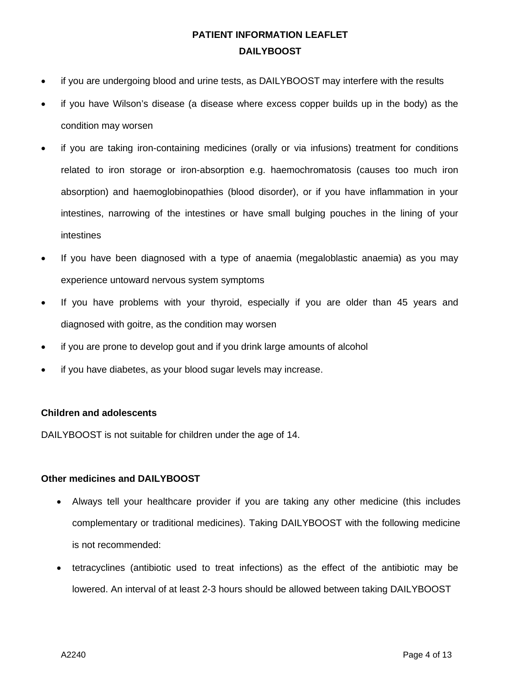- if you are undergoing blood and urine tests, as DAILYBOOST may interfere with the results
- if you have Wilson's disease (a disease where excess copper builds up in the body) as the condition may worsen
- if you are taking iron-containing medicines (orally or via infusions) treatment for conditions related to iron storage or iron-absorption e.g. haemochromatosis (causes too much iron absorption) and haemoglobinopathies (blood disorder), or if you have inflammation in your intestines, narrowing of the intestines or have small bulging pouches in the lining of your intestines
- If you have been diagnosed with a type of anaemia (megaloblastic anaemia) as you may experience untoward nervous system symptoms
- If you have problems with your thyroid, especially if you are older than 45 years and diagnosed with goitre, as the condition may worsen
- if you are prone to develop gout and if you drink large amounts of alcohol
- if you have diabetes, as your blood sugar levels may increase.

#### **Children and adolescents**

DAILYBOOST is not suitable for children under the age of 14.

#### **Other medicines and DAILYBOOST**

- Always tell your healthcare provider if you are taking any other medicine (this includes complementary or traditional medicines). Taking DAILYBOOST with the following medicine is not recommended:
- tetracyclines (antibiotic used to treat infections) as the effect of the antibiotic may be lowered. An interval of at least 2-3 hours should be allowed between taking DAILYBOOST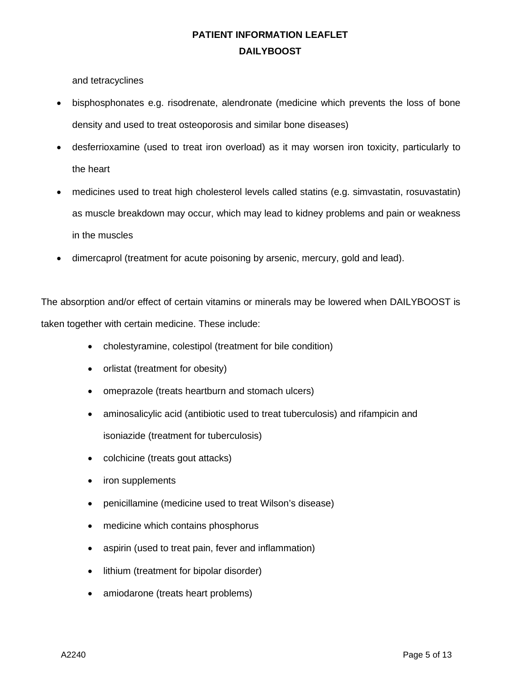and tetracyclines

- bisphosphonates e.g. risodrenate, alendronate (medicine which prevents the loss of bone density and used to treat osteoporosis and similar bone diseases)
- desferrioxamine (used to treat iron overload) as it may worsen iron toxicity, particularly to the heart
- medicines used to treat high cholesterol levels called statins (e.g. simvastatin, rosuvastatin) as muscle breakdown may occur, which may lead to kidney problems and pain or weakness in the muscles
- dimercaprol (treatment for acute poisoning by arsenic, mercury, gold and lead).

The absorption and/or effect of certain vitamins or minerals may be lowered when DAILYBOOST is taken together with certain medicine. These include:

- cholestyramine, colestipol (treatment for bile condition)
- orlistat (treatment for obesity)
- omeprazole (treats heartburn and stomach ulcers)
- aminosalicylic acid (antibiotic used to treat tuberculosis) and rifampicin and isoniazide (treatment for tuberculosis)
- colchicine (treats gout attacks)
- iron supplements
- penicillamine (medicine used to treat Wilson's disease)
- medicine which contains phosphorus
- aspirin (used to treat pain, fever and inflammation)
- lithium (treatment for bipolar disorder)
- amiodarone (treats heart problems)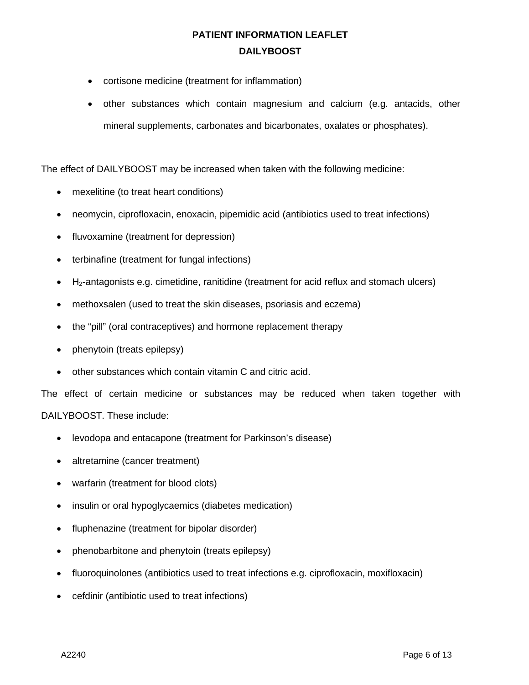- cortisone medicine (treatment for inflammation)
- other substances which contain magnesium and calcium (e.g. antacids, other mineral supplements, carbonates and bicarbonates, oxalates or phosphates).

The effect of DAILYBOOST may be increased when taken with the following medicine:

- mexelitine (to treat heart conditions)
- neomycin, ciprofloxacin, enoxacin, pipemidic acid (antibiotics used to treat infections)
- fluvoxamine (treatment for depression)
- terbinafine (treatment for fungal infections)
- $\bullet$  H<sub>2</sub>-antagonists e.g. cimetidine, ranitidine (treatment for acid reflux and stomach ulcers)
- methoxsalen (used to treat the skin diseases, psoriasis and eczema)
- the "pill" (oral contraceptives) and hormone replacement therapy
- phenytoin (treats epilepsy)
- other substances which contain vitamin C and citric acid.

The effect of certain medicine or substances may be reduced when taken together with DAILYBOOST. These include:

- levodopa and entacapone (treatment for Parkinson's disease)
- altretamine (cancer treatment)
- warfarin (treatment for blood clots)
- insulin or oral hypoglycaemics (diabetes medication)
- fluphenazine (treatment for bipolar disorder)
- phenobarbitone and phenytoin (treats epilepsy)
- fluoroquinolones (antibiotics used to treat infections e.g. ciprofloxacin, moxifloxacin)
- cefdinir (antibiotic used to treat infections)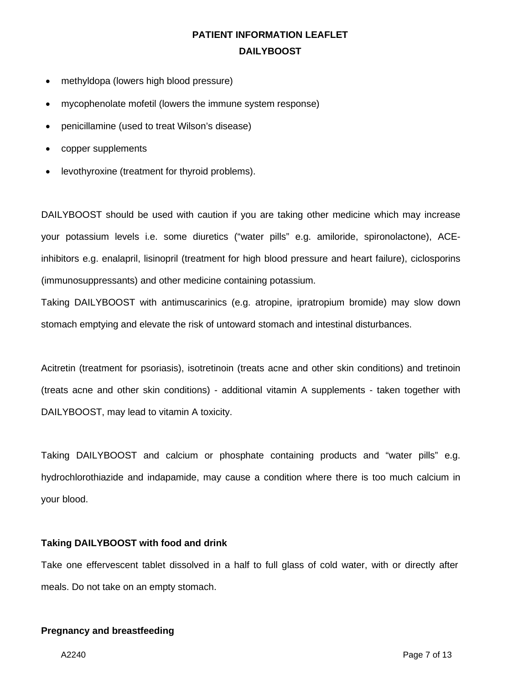- methyldopa (lowers high blood pressure)
- mycophenolate mofetil (lowers the immune system response)
- penicillamine (used to treat Wilson's disease)
- copper supplements
- levothyroxine (treatment for thyroid problems).

DAILYBOOST should be used with caution if you are taking other medicine which may increase your potassium levels i.e. some diuretics ("water pills" e.g. amiloride, spironolactone), ACEinhibitors e.g. enalapril, lisinopril (treatment for high blood pressure and heart failure), ciclosporins (immunosuppressants) and other medicine containing potassium.

Taking DAILYBOOST with antimuscarinics (e.g. atropine, ipratropium bromide) may slow down stomach emptying and elevate the risk of untoward stomach and intestinal disturbances.

Acitretin (treatment for psoriasis), isotretinoin (treats acne and other skin conditions) and tretinoin (treats acne and other skin conditions) - additional vitamin A supplements - taken together with DAILYBOOST, may lead to vitamin A toxicity.

Taking DAILYBOOST and calcium or phosphate containing products and "water pills" e.g. hydrochlorothiazide and indapamide, may cause a condition where there is too much calcium in your blood.

#### **Taking DAILYBOOST with food and drink**

Take one effervescent tablet dissolved in a half to full glass of cold water, with or directly after meals. Do not take on an empty stomach.

#### **Pregnancy and breastfeeding**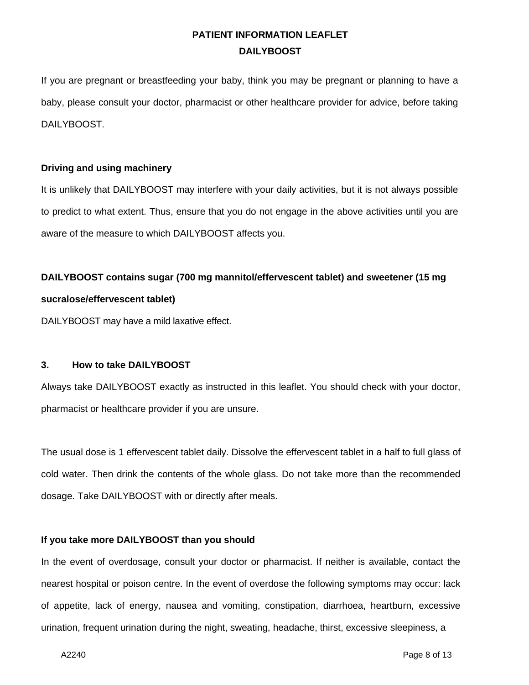If you are pregnant or breastfeeding your baby, think you may be pregnant or planning to have a baby, please consult your doctor, pharmacist or other healthcare provider for advice, before taking DAILYBOOST.

#### **Driving and using machinery**

It is unlikely that DAILYBOOST may interfere with your daily activities, but it is not always possible to predict to what extent. Thus, ensure that you do not engage in the above activities until you are aware of the measure to which DAILYBOOST affects you.

# **DAILYBOOST contains sugar (700 mg mannitol/effervescent tablet) and sweetener (15 mg sucralose/effervescent tablet)**

DAILYBOOST may have a mild laxative effect.

#### **3. How to take DAILYBOOST**

Always take DAILYBOOST exactly as instructed in this leaflet. You should check with your doctor, pharmacist or healthcare provider if you are unsure.

The usual dose is 1 effervescent tablet daily. Dissolve the effervescent tablet in a half to full glass of cold water. Then drink the contents of the whole glass. Do not take more than the recommended dosage. Take DAILYBOOST with or directly after meals.

#### **If you take more DAILYBOOST than you should**

In the event of overdosage, consult your doctor or pharmacist. If neither is available, contact the nearest hospital or poison centre. In the event of overdose the following symptoms may occur: lack of appetite, lack of energy, nausea and vomiting, constipation, diarrhoea, heartburn, excessive urination, frequent urination during the night, sweating, headache, thirst, excessive sleepiness, a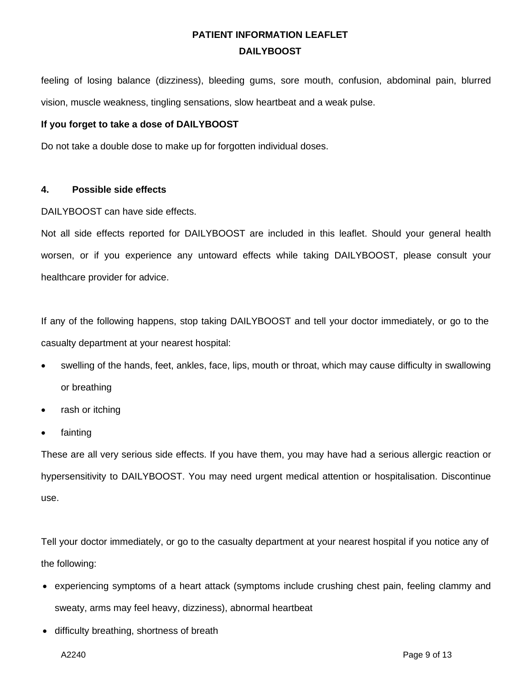feeling of losing balance (dizziness), bleeding gums, sore mouth, confusion, abdominal pain, blurred vision, muscle weakness, tingling sensations, slow heartbeat and a weak pulse.

#### **If you forget to take a dose of DAILYBOOST**

Do not take a double dose to make up for forgotten individual doses.

#### **4. Possible side effects**

DAILYBOOST can have side effects.

Not all side effects reported for DAILYBOOST are included in this leaflet. Should your general health worsen, or if you experience any untoward effects while taking DAILYBOOST, please consult your healthcare provider for advice.

If any of the following happens, stop taking DAILYBOOST and tell your doctor immediately, or go to the casualty department at your nearest hospital:

- swelling of the hands, feet, ankles, face, lips, mouth or throat, which may cause difficulty in swallowing or breathing
- rash or itching
- **fainting**

These are all very serious side effects. If you have them, you may have had a serious allergic reaction or hypersensitivity to DAILYBOOST. You may need urgent medical attention or hospitalisation. Discontinue use.

Tell your doctor immediately, or go to the casualty department at your nearest hospital if you notice any of the following:

- experiencing symptoms of a heart attack (symptoms include crushing chest pain, feeling clammy and sweaty, arms may feel heavy, dizziness), abnormal heartbeat
- difficulty breathing, shortness of breath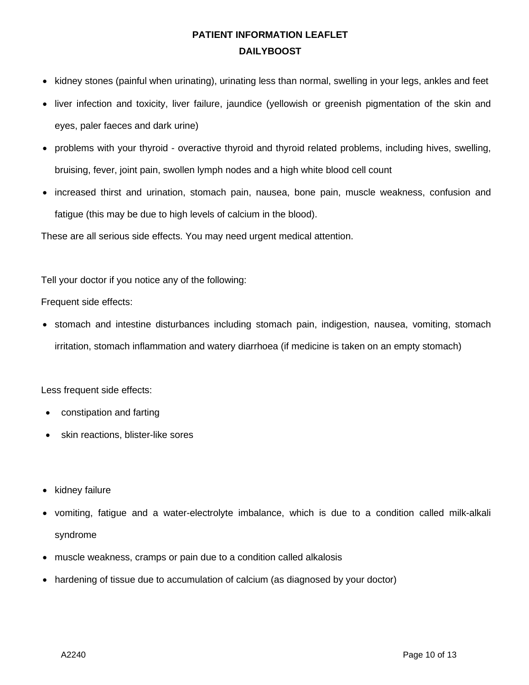- kidney stones (painful when urinating), urinating less than normal, swelling in your legs, ankles and feet
- liver infection and toxicity, liver failure, jaundice (yellowish or greenish pigmentation of the skin and eyes, paler faeces and dark urine)
- problems with your thyroid overactive thyroid and thyroid related problems, including hives, swelling, bruising, fever, joint pain, swollen lymph nodes and a high white blood cell count
- increased thirst and urination, stomach pain, nausea, bone pain, muscle weakness, confusion and fatigue (this may be due to high levels of calcium in the blood).

These are all serious side effects. You may need urgent medical attention.

Tell your doctor if you notice any of the following:

Frequent side effects:

• stomach and intestine disturbances including stomach pain, indigestion, nausea, vomiting, stomach irritation, stomach inflammation and watery diarrhoea (if medicine is taken on an empty stomach)

Less frequent side effects:

- constipation and farting
- skin reactions, blister-like sores
- kidney failure
- vomiting, fatigue and a water-electrolyte imbalance, which is due to a condition called milk-alkali syndrome
- muscle weakness, cramps or pain due to a condition called alkalosis
- hardening of tissue due to accumulation of calcium (as diagnosed by your doctor)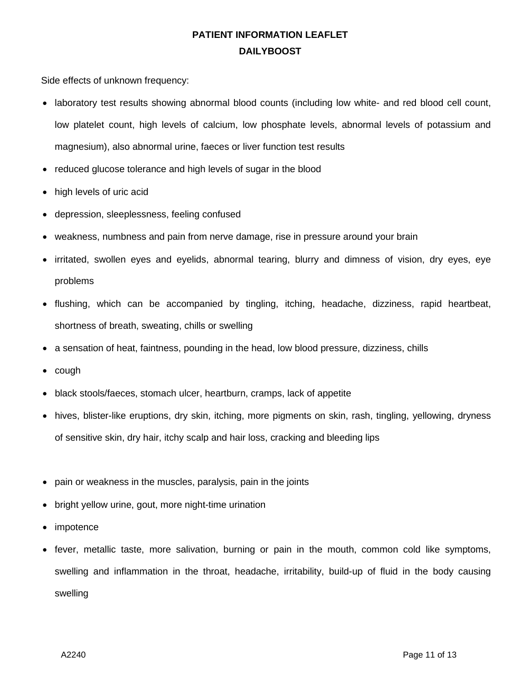Side effects of unknown frequency:

- laboratory test results showing abnormal blood counts (including low white- and red blood cell count, low platelet count, high levels of calcium, low phosphate levels, abnormal levels of potassium and magnesium), also abnormal urine, faeces or liver function test results
- reduced glucose tolerance and high levels of sugar in the blood
- high levels of uric acid
- depression, sleeplessness, feeling confused
- weakness, numbness and pain from nerve damage, rise in pressure around your brain
- irritated, swollen eyes and eyelids, abnormal tearing, blurry and dimness of vision, dry eyes, eye problems
- flushing, which can be accompanied by tingling, itching, headache, dizziness, rapid heartbeat, shortness of breath, sweating, chills or swelling
- a sensation of heat, faintness, pounding in the head, low blood pressure, dizziness, chills
- cough
- black stools/faeces, stomach ulcer, heartburn, cramps, lack of appetite
- hives, blister-like eruptions, dry skin, itching, more pigments on skin, rash, tingling, yellowing, dryness of sensitive skin, dry hair, itchy scalp and hair loss, cracking and bleeding lips
- pain or weakness in the muscles, paralysis, pain in the joints
- bright yellow urine, gout, more night-time urination
- *impotence*
- fever, metallic taste, more salivation, burning or pain in the mouth, common cold like symptoms, swelling and inflammation in the throat, headache, irritability, build-up of fluid in the body causing swelling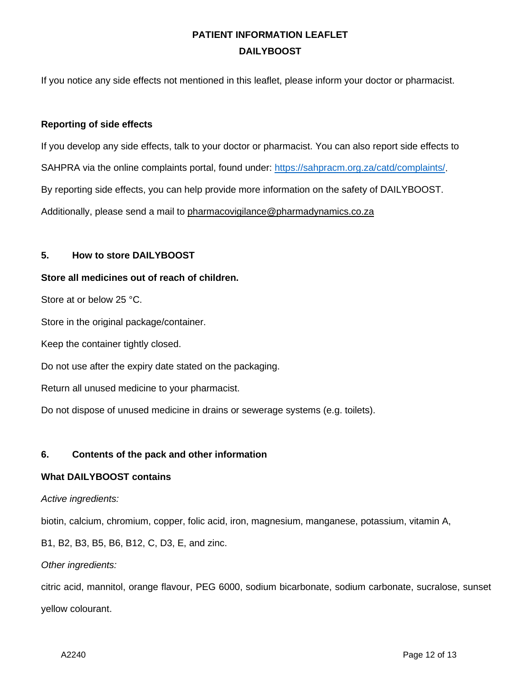If you notice any side effects not mentioned in this leaflet, please inform your doctor or pharmacist.

#### **Reporting of side effects**

If you develop any side effects, talk to your doctor or pharmacist. You can also report side effects to SAHPRA via the online complaints portal, found under: [https://sahpracm.org.za/catd/complaints/.](https://sahpracm.org.za/catd/complaints/) By reporting side effects, you can help provide more information on the safety of DAILYBOOST. Additionally, please send a mail to [pharmacovigilance@pharmadynamics.co.za](mailto:pharmacovigilance@pharmadynamics.co.za)

#### **5. How to store DAILYBOOST**

#### **Store all medicines out of reach of children.**

Store at or below 25 °C.

Store in the original package/container.

Keep the container tightly closed.

Do not use after the expiry date stated on the packaging.

Return all unused medicine to your pharmacist.

Do not dispose of unused medicine in drains or sewerage systems (e.g. toilets).

#### **6. Contents of the pack and other information**

#### **What DAILYBOOST contains**

#### *Active ingredients:*

biotin, calcium, chromium, copper, folic acid, iron, magnesium, manganese, potassium, vitamin A,

B1, B2, B3, B5, B6, B12, C, D3, E, and zinc.

#### *Other ingredients:*

citric acid, mannitol, orange flavour, PEG 6000, sodium bicarbonate, sodium carbonate, sucralose, sunset yellow colourant.